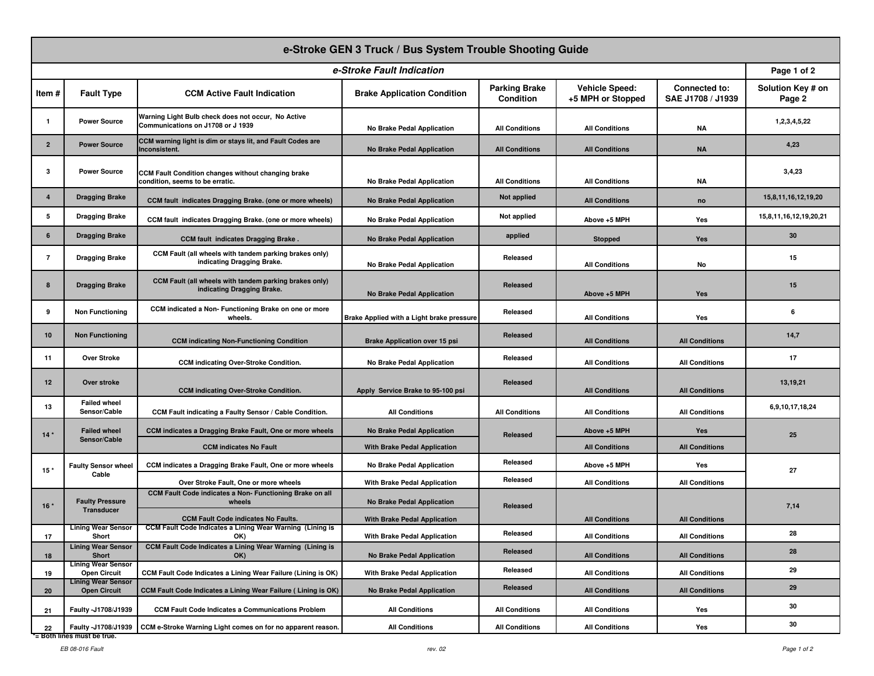| e-Stroke GEN 3 Truck / Bus System Trouble Shooting Guide |                                                    |                                                                                                         |                                           |                                   |                                            |                                           |                             |  |
|----------------------------------------------------------|----------------------------------------------------|---------------------------------------------------------------------------------------------------------|-------------------------------------------|-----------------------------------|--------------------------------------------|-------------------------------------------|-----------------------------|--|
| e-Stroke Fault Indication                                |                                                    |                                                                                                         |                                           |                                   |                                            |                                           |                             |  |
| Item#                                                    | <b>Fault Type</b>                                  | <b>CCM Active Fault Indication</b>                                                                      | <b>Brake Application Condition</b>        | <b>Parking Brake</b><br>Condition | <b>Vehicle Speed:</b><br>+5 MPH or Stopped | <b>Connected to:</b><br>SAE J1708 / J1939 | Solution Key # on<br>Page 2 |  |
| $\mathbf{1}$                                             | <b>Power Source</b>                                | Warning Light Bulb check does not occur, No Active<br>Communications on J1708 or J 1939                 | No Brake Pedal Application                | <b>All Conditions</b>             | <b>All Conditions</b>                      | ΝA                                        | 1,2,3,4,5,22                |  |
| $\overline{2}$                                           | <b>Power Source</b>                                | CCM warning light is dim or stays lit, and Fault Codes are<br>Inconsistent.                             | <b>No Brake Pedal Application</b>         | <b>All Conditions</b>             | <b>All Conditions</b>                      | <b>NA</b>                                 | 4,23                        |  |
| 3                                                        | <b>Power Source</b>                                | <b>CCM Fault Condition changes without changing brake</b><br>condition, seems to be erratic.            | No Brake Pedal Application                | <b>All Conditions</b>             | <b>All Conditions</b>                      | ΝA                                        | 3,4,23                      |  |
| $\overline{4}$                                           | <b>Dragging Brake</b>                              | CCM fault indicates Dragging Brake. (one or more wheels)                                                | <b>No Brake Pedal Application</b>         | <b>Not applied</b>                | <b>All Conditions</b>                      | no                                        | 15,8,11,16,12,19,20         |  |
| 5                                                        | <b>Dragging Brake</b>                              | CCM fault indicates Dragging Brake. (one or more wheels)                                                | No Brake Pedal Application                | Not applied                       | Above +5 MPH                               | Yes                                       | 15,8,11,16,12,19,20,21      |  |
| 6                                                        | <b>Dragging Brake</b>                              | <b>CCM fault indicates Dragging Brake.</b>                                                              | <b>No Brake Pedal Application</b>         | applied                           | <b>Stopped</b>                             | Yes                                       | 30                          |  |
| $\overline{7}$                                           | <b>Dragging Brake</b>                              | CCM Fault (all wheels with tandem parking brakes only)<br>indicating Dragging Brake.                    | No Brake Pedal Application                | Released                          | <b>All Conditions</b>                      | No                                        | 15                          |  |
| 8                                                        | <b>Dragging Brake</b>                              | CCM Fault (all wheels with tandem parking brakes only)<br>indicating Dragging Brake.                    | <b>No Brake Pedal Application</b>         | Released                          | Above +5 MPH                               | Yes                                       | 15                          |  |
| 9                                                        | <b>Non Functioning</b>                             | CCM indicated a Non-Functioning Brake on one or more<br>wheels.                                         | Brake Applied with a Light brake pressure | Released                          | <b>All Conditions</b>                      | Yes                                       | 6                           |  |
| 10                                                       | <b>Non Functioning</b>                             | <b>CCM indicating Non-Functioning Condition</b>                                                         | <b>Brake Application over 15 psi</b>      | Released                          | <b>All Conditions</b>                      | <b>All Conditions</b>                     | 14,7                        |  |
| 11                                                       | Over Stroke                                        | <b>CCM indicating Over-Stroke Condition.</b>                                                            | No Brake Pedal Application                | Released                          | <b>All Conditions</b>                      | <b>All Conditions</b>                     | 17                          |  |
| 12                                                       | Over stroke                                        | <b>CCM indicating Over-Stroke Condition.</b>                                                            | Apply Service Brake to 95-100 psi         | Released                          | <b>All Conditions</b>                      | <b>All Conditions</b>                     | 13,19,21                    |  |
| 13                                                       | <b>Failed wheel</b><br>Sensor/Cable                | CCM Fault indicating a Faulty Sensor / Cable Condition.                                                 | <b>All Conditions</b>                     | <b>All Conditions</b>             | <b>All Conditions</b>                      | <b>All Conditions</b>                     | 6,9,10,17,18,24             |  |
| $14*$                                                    | <b>Failed wheel</b><br>Sensor/Cable                | CCM indicates a Dragging Brake Fault, One or more wheels                                                | <b>No Brake Pedal Application</b>         | Released                          | Above +5 MPH                               | Yes                                       | 25                          |  |
|                                                          |                                                    | <b>CCM indicates No Fault</b>                                                                           | <b>With Brake Pedal Application</b>       |                                   | <b>All Conditions</b>                      | <b>All Conditions</b>                     |                             |  |
| 15 <sup>°</sup>                                          | <b>Faulty Sensor wheel</b><br>Cable                | CCM indicates a Dragging Brake Fault, One or more wheels                                                | No Brake Pedal Application                | Released                          | Above +5 MPH                               | Yes                                       | 27                          |  |
|                                                          |                                                    | Over Stroke Fault, One or more wheels                                                                   | With Brake Pedal Application              | Released                          | <b>All Conditions</b>                      | <b>All Conditions</b>                     |                             |  |
| $16*$                                                    | <b>Faulty Pressure</b><br><b>Transducer</b>        | CCM Fault Code indicates a Non- Functioning Brake on all<br>wheels                                      | <b>No Brake Pedal Application</b>         | Released                          |                                            |                                           | 7,14                        |  |
|                                                          | <b>Lining Wear Sensor</b>                          | <b>CCM Fault Code indicates No Faults.</b><br>CCM Fault Code Indicates a Lining Wear Warning (Lining is | <b>With Brake Pedal Application</b>       |                                   | <b>All Conditions</b>                      | <b>All Conditions</b>                     |                             |  |
| 17                                                       | Short<br><b>Lining Wear Sensor</b>                 | OK)<br>CCM Fault Code Indicates a Lining Wear Warning (Lining is                                        | With Brake Pedal Application              | Released                          | <b>All Conditions</b>                      | <b>All Conditions</b>                     | 28                          |  |
| 18                                                       | Short<br><b>Lining Wear Sensor</b>                 | OK)                                                                                                     | No Brake Pedal Application                | Released                          | <b>All Conditions</b>                      | <b>All Conditions</b>                     | 28                          |  |
| 19                                                       | <b>Open Circuit</b><br><b>Lining Wear Sensor</b>   | CCM Fault Code Indicates a Lining Wear Failure (Lining is OK)                                           | <b>With Brake Pedal Application</b>       | Released                          | <b>All Conditions</b>                      | <b>All Conditions</b>                     | 29                          |  |
| 20                                                       | <b>Open Circuit</b>                                | CCM Fault Code Indicates a Lining Wear Failure (Lining is OK)                                           | No Brake Pedal Application                | Released                          | <b>All Conditions</b>                      | <b>All Conditions</b>                     | 29                          |  |
| 21                                                       | Faulty -J1708/J1939                                | <b>CCM Fault Code Indicates a Communications Problem</b>                                                | <b>All Conditions</b>                     | <b>All Conditions</b>             | <b>All Conditions</b>                      | Yes                                       | 30                          |  |
| 22                                                       | Faulty -J1708/J1939<br>*= Both lines must be true. | CCM e-Stroke Warning Light comes on for no apparent reason.                                             | <b>All Conditions</b>                     | <b>All Conditions</b>             | <b>All Conditions</b>                      | Yes                                       | 30                          |  |